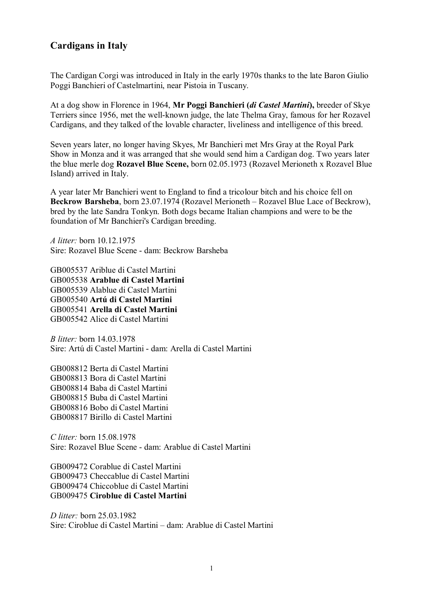## **Cardigans in Italy**

The Cardigan Corgi was introduced in Italy in the early 1970s thanks to the late Baron Giulio Poggi Banchieri of Castelmartini, near Pistoia in Tuscany.

At a dog show in Florence in 1964, **Mr Poggi Banchieri (***di Castel Martini***),** breeder of Skye Terriers since 1956, met the well-known judge, the late Thelma Gray, famous for her Rozavel Cardigans, and they talked of the lovable character, liveliness and intelligence of this breed.

Seven years later, no longer having Skyes, Mr Banchieri met Mrs Gray at the Royal Park Show in Monza and it was arranged that she would send him a Cardigan dog. Two years later the blue merle dog **Rozavel Blue Scene,** born 02.05.1973 (Rozavel Merioneth x Rozavel Blue Island) arrived in Italy.

A year later Mr Banchieri went to England to find a tricolour bitch and his choice fell on **Beckrow Barsheba**, born 23.07.1974 (Rozavel Merioneth – Rozavel Blue Lace of Beckrow), bred by the late Sandra Tonkyn. Both dogs became Italian champions and were to be the foundation of Mr Banchieri's Cardigan breeding.

*A litter:* born 10.12.1975 Sire: Rozavel Blue Scene - dam: Beckrow Barsheba

GB005537 Ariblue di Castel Martini GB005538 **Arablue di Castel Martini**  GB005539 Alablue di Castel Martini GB005540 **Artú di Castel Martini**  GB005541 **Arella di Castel Martini**  GB005542 Alice di Castel Martini

*B litter:* born 14.03.1978 Sire: Artú di Castel Martini - dam: Arella di Castel Martini

GB008812 Berta di Castel Martini GB008813 Bora di Castel Martini GB008814 Baba di Castel Martini GB008815 Buba di Castel Martini GB008816 Bobo di Castel Martini GB008817 Birillo di Castel Martini

*C litter:* born 15.08.1978 Sire: Rozavel Blue Scene - dam: Arablue di Castel Martini

GB009472 Corablue di Castel Martini GB009473 Checcablue di Castel Martini GB009474 Chiccoblue di Castel Martini GB009475 **Ciroblue di Castel Martini** 

*D litter:* born 25.03.1982 Sire: Ciroblue di Castel Martini – dam: Arablue di Castel Martini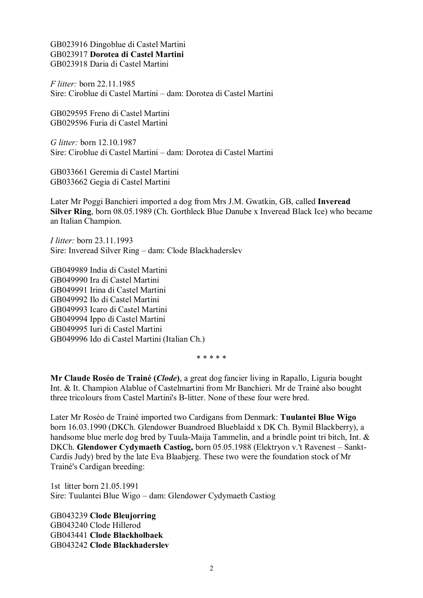GB023916 Dingoblue di Castel Martini GB023917 **Dorotea di Castel Martini**  GB023918 Daria di Castel Martini

*F litter:* born 22.11.1985 Sire: Ciroblue di Castel Martini – dam: Dorotea di Castel Martini

GB029595 Freno di Castel Martini GB029596 Furia di Castel Martini

*G litter:* born 12.10.1987 Sire: Ciroblue di Castel Martini – dam: Dorotea di Castel Martini

GB033661 Geremia di Castel Martini GB033662 Gegia di Castel Martini

Later Mr Poggi Banchieri imported a dog from Mrs J.M. Gwatkin, GB, called **Inveread Silver Ring**, born 08.05.1989 (Ch. Gorthleck Blue Danube x Inveread Black Ice) who became an Italian Champion.

*I litter:* born 23.11.1993 Sire: Inveread Silver Ring – dam: Clode Blackhaderslev

GB049989 India di Castel Martini GB049990 Ira di Castel Martini GB049991 Irina di Castel Martini GB049992 Ilo di Castel Martini GB049993 Icaro di Castel Martini GB049994 Ippo di Castel Martini GB049995 Iuri di Castel Martini GB049996 Ido di Castel Martini (Italian Ch.)

\* \* \* \* \*

**Mr Claude Roséo de Trainé (***Clode***)**, a great dog fancier living in Rapallo, Liguria bought Int. & It. Champion Alablue of Castelmartini from Mr Banchieri. Mr de Trainé also bought three tricolours from Castel Martini's B-litter. None of these four were bred.

Later Mr Roséo de Trainé imported two Cardigans from Denmark: **Tuulantei Blue Wigo** born 16.03.1990 (DKCh. Glendower Buandroed Blueblaidd x DK Ch. Bymil Blackberry), a handsome blue merle dog bred by Tuula-Maija Tammelin, and a brindle point tri bitch, Int. & DKCh. **Glendower Cydymaeth Castiog,** born 05.05.1988 (Elektryon v.'t Ravenest – Sankt-Cardis Judy) bred by the late Eva Blaabjerg. These two were the foundation stock of Mr Trainé's Cardigan breeding:

1st litter born 21.05.1991 Sire: Tuulantei Blue Wigo – dam: Glendower Cydymaeth Castiog

GB043239 **Clode Bleujorring** GB043240 Clode Hillerod GB043441 **Clode Blackholbaek** GB043242 **Clode Blackhaderslev**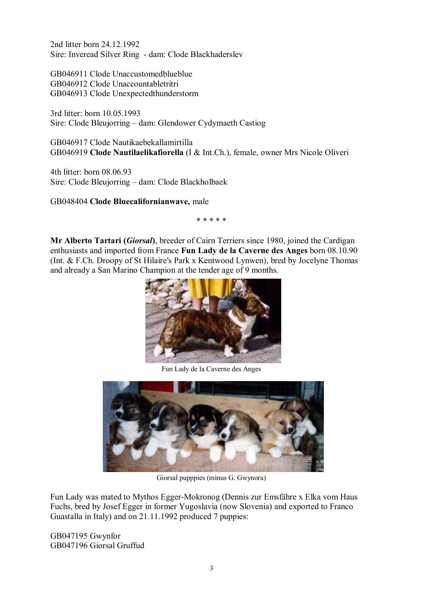2nd litter born 24.12.1992 Sire: Inveread Silver Ring - dam: Clode Blackhaderslev

GB046911 Clode Unaccustomedblueblue GB046912 Clode Unaccountabletritri GB046913 Clode Unexpectedthunderstorm

3rd litter: born 10.05.1993 Sire: Clode Bleujorring – dam: Glendower Cydymaeth Castiog

GB046917 Clode Nautikaebekallamirtilla GB046919 **Clode Nautilaelikafiorella** (I & Int.Ch.), female, owner Mrs Nicole Oliveri

4th litter: born 08.06.93 Sire: Clode Bleujorring – dam: Clode Blackholbaek

GB048404 **Clode Bluecalifornianwave,** male

\* \* \* \* \*

**Mr Alberto Tartari (***Giorsal***)**, breeder of Cairn Terriers since 1980, joined the Cardigan enthusiasts and imported from France **Fun Lady de la Caverne des Anges** born 08.10.90 (Int. & F.Ch. Droopy of St Hilaire's Park x Kentwood Lynwen), bred by Jocelyne Thomas and already a San Marino Champion at the tender age of 9 months.



Fun Lady de la Caverne des Anges



Giorsal pupppies (minus G. Gwynora)

Fun Lady was mated to Mythos Egger-Mokronog (Dennis zur Emsfähre x Elka vom Haus Fuchs, bred by Josef Egger in former Yugoslavia (now Slovenia) and exported to Franco Guastalla in Italy) and on 21.11.1992 produced 7 puppies:

GB047195 Gwynfor GB047196 Giorsal Gruffud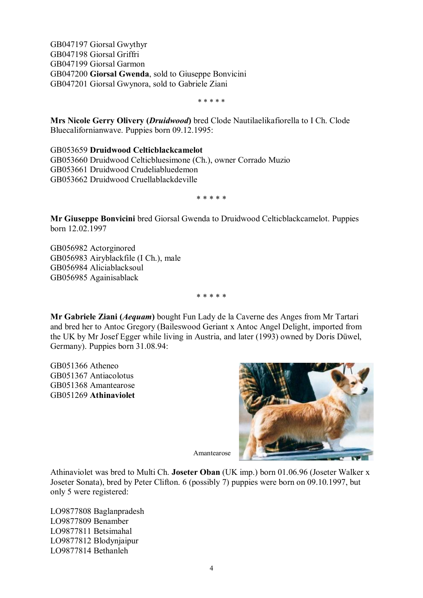GB047197 Giorsal Gwythyr GB047198 Giorsal Griffri GB047199 Giorsal Garmon GB047200 **Giorsal Gwenda**, sold to Giuseppe Bonvicini GB047201 Giorsal Gwynora, sold to Gabriele Ziani

\* \* \* \* \*

**Mrs Nicole Gerry Olivery (***Druidwood***)** bred Clode Nautilaelikafiorella to I Ch. Clode Bluecalifornianwave. Puppies born 09.12.1995:

GB053659 **Druidwood Celticblackcamelot** GB053660 Druidwood Celticbluesimone (Ch.), owner Corrado Muzio GB053661 Druidwood Crudeliabluedemon GB053662 Druidwood Cruellablackdeville

\* \* \* \* \*

**Mr Giuseppe Bonvicini** bred Giorsal Gwenda to Druidwood Celticblackcamelot. Puppies born 12.02.1997

GB056982 Actorginored GB056983 Airyblackfile (I Ch.), male GB056984 Aliciablacksoul GB056985 Againisablack

\* \* \* \* \*

**Mr Gabriele Ziani (***Aequam***)** bought Fun Lady de la Caverne des Anges from Mr Tartari and bred her to Antoc Gregory (Baileswood Geriant x Antoc Angel Delight, imported from the UK by Mr Josef Egger while living in Austria, and later (1993) owned by Doris Düwel, Germany). Puppies born 31.08.94:

GB051366 Atheneo GB051367 Antiacolotus GB051368 Amantearose GB051269 **Athinaviolet**



Amantearose

Athinaviolet was bred to Multi Ch. **Joseter Oban** (UK imp.) born 01.06.96 (Joseter Walker x Joseter Sonata), bred by Peter Clifton. 6 (possibly 7) puppies were born on 09.10.1997, but only 5 were registered:

LO9877808 Baglanpradesh LO9877809 Benamber LO9877811 Betsimahal LO9877812 Blodynjaipur LO9877814 Bethanleh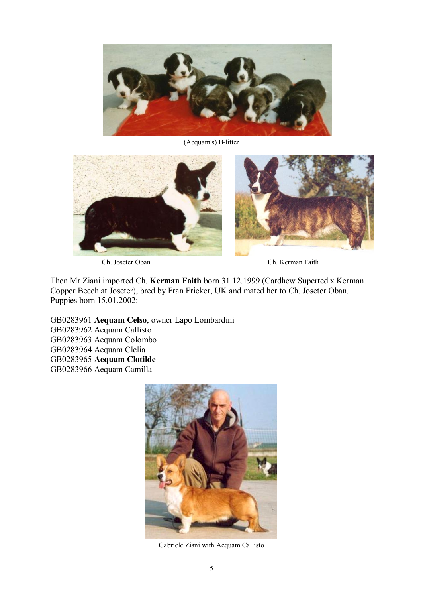

(Aequam's) B-litter



Ch. Joseter Oban Ch. Kerman Faith

Then Mr Ziani imported Ch. **Kerman Faith** born 31.12.1999 (Cardhew Superted x Kerman Copper Beech at Joseter), bred by Fran Fricker, UK and mated her to Ch. Joseter Oban. Puppies born 15.01.2002:

GB0283961 **Aequam Celso**, owner Lapo Lombardini GB0283962 Aequam Callisto GB0283963 Aequam Colombo GB0283964 Aequam Clelia GB0283965 **Aequam Clotilde** GB0283966 Aequam Camilla



Gabriele Ziani with Aequam Callisto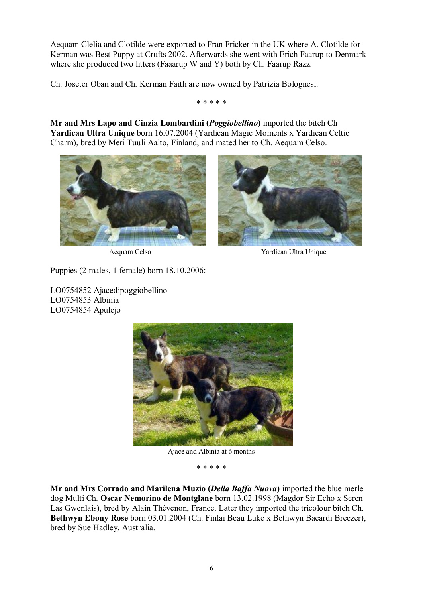Aequam Clelia and Clotilde were exported to Fran Fricker in the UK where A. Clotilde for Kerman was Best Puppy at Crufts 2002. Afterwards she went with Erich Faarup to Denmark where she produced two litters (Faaarup W and Y) both by Ch. Faarup Razz.

Ch. Joseter Oban and Ch. Kerman Faith are now owned by Patrizia Bolognesi.

\* \* \* \* \*

**Mr and Mrs Lapo and Cinzia Lombardini (***Poggiobellino***)** imported the bitch Ch **Yardican Ultra Unique** born 16.07.2004 (Yardican Magic Moments x Yardican Celtic Charm), bred by Meri Tuuli Aalto, Finland, and mated her to Ch. Aequam Celso.





Aequam Celso Yardican Ultra Unique

Puppies (2 males, 1 female) born 18.10.2006:

LO0754852 Ajacedipoggiobellino LO0754853 Albinia LO0754854 Apulejo



Ajace and Albinia at 6 months

\* \* \* \* \*

**Mr and Mrs Corrado and Marilena Muzio (***Della Baffa Nuova***)** imported the blue merle dog Multi Ch. **Oscar Nemorino de Montglane** born 13.02.1998 (Magdor Sir Echo x Seren Las Gwenlais), bred by Alain Thévenon, France. Later they imported the tricolour bitch Ch. **Bethwyn Ebony Rose** born 03.01.2004 (Ch. Finlai Beau Luke x Bethwyn Bacardi Breezer), bred by Sue Hadley, Australia.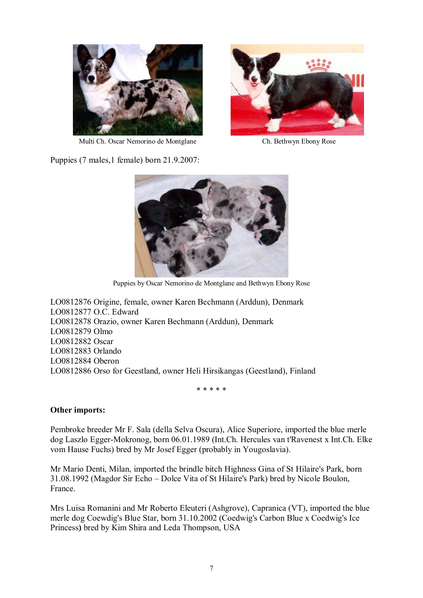



Multi Ch. Oscar Nemorino de Montglane Ch. Bethwyn Ebony Rose

Puppies (7 males,1 female) born 21.9.2007:



Puppies by Oscar Nemorino de Montglane and Bethwyn Ebony Rose

LO0812876 Origine, female, owner Karen Bechmann (Arddun), Denmark LO0812877 O.C. Edward LO0812878 Orazio, owner Karen Bechmann (Arddun), Denmark LO0812879 Olmo LO0812882 Oscar LO0812883 Orlando LO0812884 Oberon LO0812886 Orso for Geestland, owner Heli Hirsikangas (Geestland), Finland

\* \* \* \* \*

## **Other imports:**

Pembroke breeder Mr F. Sala (della Selva Oscura), Alice Superiore, imported the blue merle dog Laszlo Egger-Mokronog, born 06.01.1989 (Int.Ch. Hercules van t'Ravenest x Int.Ch. Elke vom Hause Fuchs) bred by Mr Josef Egger (probably in Yougoslavia).

Mr Mario Denti, Milan, imported the brindle bitch Highness Gina of St Hilaire's Park, born 31.08.1992 (Magdor Sir Echo – Dolce Vita of St Hilaire's Park) bred by Nicole Boulon, France.

Mrs Luisa Romanini and Mr Roberto Eleuteri (Ashgrove), Capranica (VT), imported the blue merle dog Coewdig's Blue Star, born 31.10.2002 (Coedwig's Carbon Blue x Coedwig's Ice Princess**)** bred by Kim Shira and Leda Thompson, USA